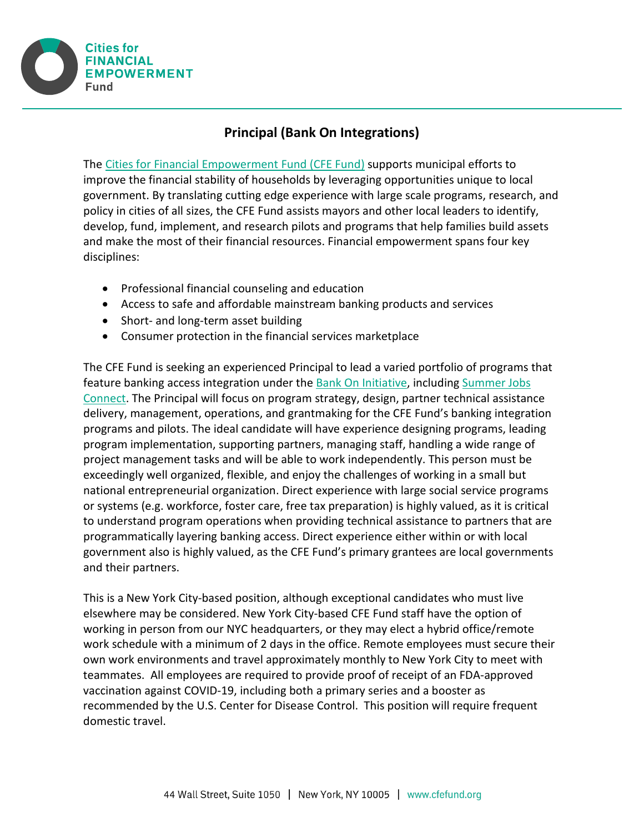

## **Principal (Bank On Integrations)**

The [Cities for Financial Empowerment Fund](http://www.cfefund.org/) (CFE Fund) supports municipal efforts to improve the financial stability of households by leveraging opportunities unique to local government. By translating cutting edge experience with large scale programs, research, and policy in cities of all sizes, the CFE Fund assists mayors and other local leaders to identify, develop, fund, implement, and research pilots and programs that help families build assets and make the most of their financial resources. Financial empowerment spans four key disciplines:

- Professional financial counseling and education
- Access to safe and affordable mainstream banking products and services
- Short- and long-term asset building
- Consumer protection in the financial services marketplace

The CFE Fund is seeking an experienced Principal to lead a varied portfolio of programs that feature banking access integration under the [Bank On Initiative,](https://joinbankon.org/) including [Summer Jobs](https://cfefund.org/project/summer-jobs-connect/)  [Connect.](https://cfefund.org/project/summer-jobs-connect/) The Principal will focus on program strategy, design, partner technical assistance delivery, management, operations, and grantmaking for the CFE Fund's banking integration programs and pilots. The ideal candidate will have experience designing programs, leading program implementation, supporting partners, managing staff, handling a wide range of project management tasks and will be able to work independently. This person must be exceedingly well organized, flexible, and enjoy the challenges of working in a small but national entrepreneurial organization. Direct experience with large social service programs or systems (e.g. workforce, foster care, free tax preparation) is highly valued, as it is critical to understand program operations when providing technical assistance to partners that are programmatically layering banking access. Direct experience either within or with local government also is highly valued, as the CFE Fund's primary grantees are local governments and their partners.

This is a New York City-based position, although exceptional candidates who must live elsewhere may be considered. New York City-based CFE Fund staff have the option of working in person from our NYC headquarters, or they may elect a hybrid office/remote work schedule with a minimum of 2 days in the office. Remote employees must secure their own work environments and travel approximately monthly to New York City to meet with teammates. All employees are required to provide proof of receipt of an FDA-approved vaccination against COVID-19, including both a primary series and a booster as recommended by the U.S. Center for Disease Control. This position will require frequent domestic travel.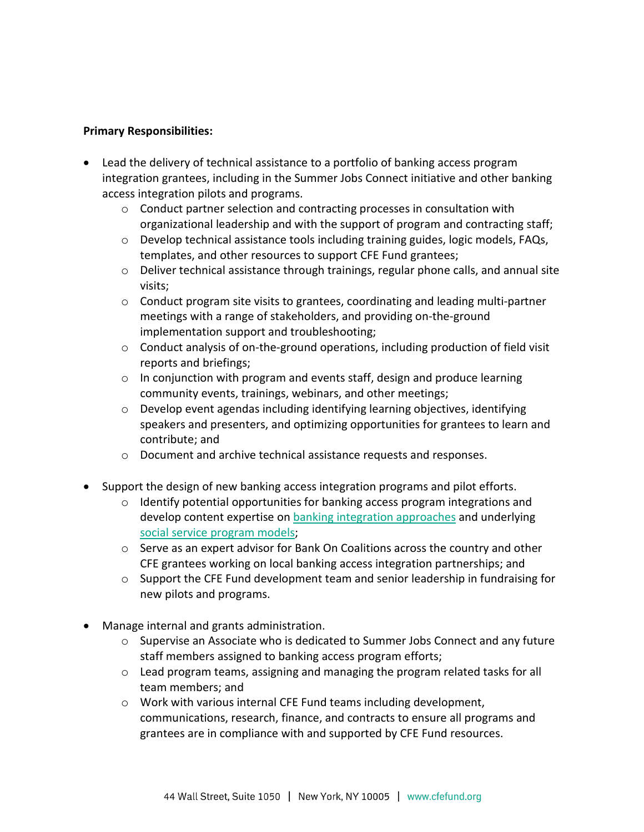## **Primary Responsibilities:**

- Lead the delivery of technical assistance to a portfolio of banking access program integration grantees, including in the Summer Jobs Connect initiative and other banking access integration pilots and programs.
	- o Conduct partner selection and contracting processes in consultation with organizational leadership and with the support of program and contracting staff;
	- o Develop technical assistance tools including training guides, logic models, FAQs, templates, and other resources to support CFE Fund grantees;
	- $\circ$  Deliver technical assistance through trainings, regular phone calls, and annual site visits;
	- $\circ$  Conduct program site visits to grantees, coordinating and leading multi-partner meetings with a range of stakeholders, and providing on-the-ground implementation support and troubleshooting;
	- $\circ$  Conduct analysis of on-the-ground operations, including production of field visit reports and briefings;
	- $\circ$  In conjunction with program and events staff, design and produce learning community events, trainings, webinars, and other meetings;
	- o Develop event agendas including identifying learning objectives, identifying speakers and presenters, and optimizing opportunities for grantees to learn and contribute; and
	- o Document and archive technical assistance requests and responses.
- Support the design of new banking access integration programs and pilot efforts.
	- $\circ$  Identify potential opportunities for banking access program integrations and develop content expertise on [banking integration approaches](https://cfefund.org/wp-content/uploads/2020/09/Three-Steps-of-Banking_Infographic.pdf) and underlying [social service program models;](https://cfefund.org/wp-content/uploads/2016/01/SJC-Touchpoints-Infographic-Feb-2018.pdf)
	- $\circ$  Serve as an expert advisor for Bank On Coalitions across the country and other CFE grantees working on local banking access integration partnerships; and
	- $\circ$  Support the CFE Fund development team and senior leadership in fundraising for new pilots and programs.
- Manage internal and grants administration.
	- o Supervise an Associate who is dedicated to Summer Jobs Connect and any future staff members assigned to banking access program efforts;
	- o Lead program teams, assigning and managing the program related tasks for all team members; and
	- o Work with various internal CFE Fund teams including development, communications, research, finance, and contracts to ensure all programs and grantees are in compliance with and supported by CFE Fund resources.